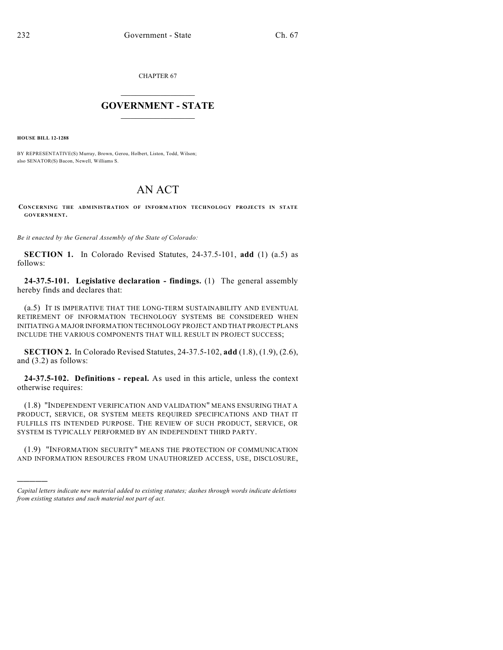CHAPTER 67

## $\overline{\phantom{a}}$  . The set of the set of the set of the set of the set of the set of the set of the set of the set of the set of the set of the set of the set of the set of the set of the set of the set of the set of the set o **GOVERNMENT - STATE**  $\_$

**HOUSE BILL 12-1288**

)))))

BY REPRESENTATIVE(S) Murray, Brown, Gerou, Holbert, Liston, Todd, Wilson; also SENATOR(S) Bacon, Newell, Williams S.

## AN ACT

**CONCERNING THE ADMINISTRATION OF INFORMATION TECHNOLOGY PROJECTS IN STATE GOVERNMENT.**

*Be it enacted by the General Assembly of the State of Colorado:*

**SECTION 1.** In Colorado Revised Statutes, 24-37.5-101, **add** (1) (a.5) as follows:

**24-37.5-101. Legislative declaration - findings.** (1) The general assembly hereby finds and declares that:

(a.5) IT IS IMPERATIVE THAT THE LONG-TERM SUSTAINABILITY AND EVENTUAL RETIREMENT OF INFORMATION TECHNOLOGY SYSTEMS BE CONSIDERED WHEN INITIATING A MAJOR INFORMATION TECHNOLOGY PROJECT AND THAT PROJECT PLANS INCLUDE THE VARIOUS COMPONENTS THAT WILL RESULT IN PROJECT SUCCESS;

**SECTION 2.** In Colorado Revised Statutes, 24-37.5-102, **add** (1.8), (1.9), (2.6), and (3.2) as follows:

**24-37.5-102. Definitions - repeal.** As used in this article, unless the context otherwise requires:

(1.8) "INDEPENDENT VERIFICATION AND VALIDATION" MEANS ENSURING THAT A PRODUCT, SERVICE, OR SYSTEM MEETS REQUIRED SPECIFICATIONS AND THAT IT FULFILLS ITS INTENDED PURPOSE. THE REVIEW OF SUCH PRODUCT, SERVICE, OR SYSTEM IS TYPICALLY PERFORMED BY AN INDEPENDENT THIRD PARTY.

(1.9) "INFORMATION SECURITY" MEANS THE PROTECTION OF COMMUNICATION AND INFORMATION RESOURCES FROM UNAUTHORIZED ACCESS, USE, DISCLOSURE,

*Capital letters indicate new material added to existing statutes; dashes through words indicate deletions from existing statutes and such material not part of act.*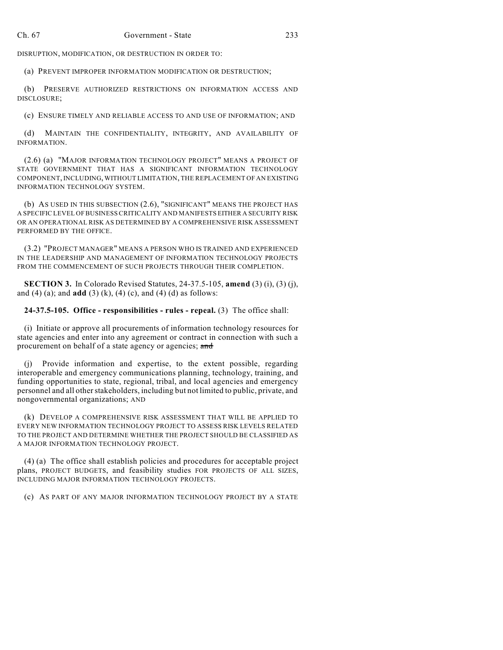DISRUPTION, MODIFICATION, OR DESTRUCTION IN ORDER TO:

(a) PREVENT IMPROPER INFORMATION MODIFICATION OR DESTRUCTION;

(b) PRESERVE AUTHORIZED RESTRICTIONS ON INFORMATION ACCESS AND DISCLOSURE;

(c) ENSURE TIMELY AND RELIABLE ACCESS TO AND USE OF INFORMATION; AND

(d) MAINTAIN THE CONFIDENTIALITY, INTEGRITY, AND AVAILABILITY OF INFORMATION.

(2.6) (a) "MAJOR INFORMATION TECHNOLOGY PROJECT" MEANS A PROJECT OF STATE GOVERNMENT THAT HAS A SIGNIFICANT INFORMATION TECHNOLOGY COMPONENT, INCLUDING, WITHOUT LIMITATION, THE REPLACEMENT OF AN EXISTING INFORMATION TECHNOLOGY SYSTEM.

(b) AS USED IN THIS SUBSECTION (2.6), "SIGNIFICANT" MEANS THE PROJECT HAS A SPECIFIC LEVEL OF BUSINESS CRITICALITY AND MANIFESTS EITHER A SECURITY RISK OR AN OPERATIONAL RISK AS DETERMINED BY A COMPREHENSIVE RISK ASSESSMENT PERFORMED BY THE OFFICE.

(3.2) "PROJECT MANAGER" MEANS A PERSON WHO IS TRAINED AND EXPERIENCED IN THE LEADERSHIP AND MANAGEMENT OF INFORMATION TECHNOLOGY PROJECTS FROM THE COMMENCEMENT OF SUCH PROJECTS THROUGH THEIR COMPLETION.

**SECTION 3.** In Colorado Revised Statutes, 24-37.5-105, **amend** (3) (i), (3) (j), and (4) (a); and **add** (3) (k), (4) (c), and (4) (d) as follows:

## **24-37.5-105. Office - responsibilities - rules - repeal.** (3) The office shall:

(i) Initiate or approve all procurements of information technology resources for state agencies and enter into any agreement or contract in connection with such a procurement on behalf of a state agency or agencies; and

(j) Provide information and expertise, to the extent possible, regarding interoperable and emergency communications planning, technology, training, and funding opportunities to state, regional, tribal, and local agencies and emergency personnel and all other stakeholders, including but not limited to public, private, and nongovernmental organizations; AND

(k) DEVELOP A COMPREHENSIVE RISK ASSESSMENT THAT WILL BE APPLIED TO EVERY NEW INFORMATION TECHNOLOGY PROJECT TO ASSESS RISK LEVELS RELATED TO THE PROJECT AND DETERMINE WHETHER THE PROJECT SHOULD BE CLASSIFIED AS A MAJOR INFORMATION TECHNOLOGY PROJECT.

(4) (a) The office shall establish policies and procedures for acceptable project plans, PROJECT BUDGETS, and feasibility studies FOR PROJECTS OF ALL SIZES, INCLUDING MAJOR INFORMATION TECHNOLOGY PROJECTS.

(c) AS PART OF ANY MAJOR INFORMATION TECHNOLOGY PROJECT BY A STATE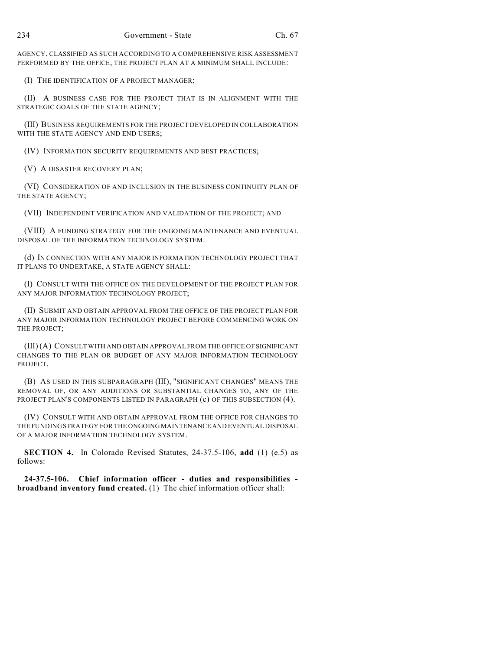AGENCY, CLASSIFIED AS SUCH ACCORDING TO A COMPREHENSIVE RISK ASSESSMENT PERFORMED BY THE OFFICE, THE PROJECT PLAN AT A MINIMUM SHALL INCLUDE:

(I) THE IDENTIFICATION OF A PROJECT MANAGER;

(II) A BUSINESS CASE FOR THE PROJECT THAT IS IN ALIGNMENT WITH THE STRATEGIC GOALS OF THE STATE AGENCY;

(III) BUSINESS REQUIREMENTS FOR THE PROJECT DEVELOPED IN COLLABORATION WITH THE STATE AGENCY AND END USERS;

(IV) INFORMATION SECURITY REQUIREMENTS AND BEST PRACTICES;

(V) A DISASTER RECOVERY PLAN;

(VI) CONSIDERATION OF AND INCLUSION IN THE BUSINESS CONTINUITY PLAN OF THE STATE AGENCY;

(VII) INDEPENDENT VERIFICATION AND VALIDATION OF THE PROJECT; AND

(VIII) A FUNDING STRATEGY FOR THE ONGOING MAINTENANCE AND EVENTUAL DISPOSAL OF THE INFORMATION TECHNOLOGY SYSTEM.

(d) IN CONNECTION WITH ANY MAJOR INFORMATION TECHNOLOGY PROJECT THAT IT PLANS TO UNDERTAKE, A STATE AGENCY SHALL:

(I) CONSULT WITH THE OFFICE ON THE DEVELOPMENT OF THE PROJECT PLAN FOR ANY MAJOR INFORMATION TECHNOLOGY PROJECT;

(II) SUBMIT AND OBTAIN APPROVAL FROM THE OFFICE OF THE PROJECT PLAN FOR ANY MAJOR INFORMATION TECHNOLOGY PROJECT BEFORE COMMENCING WORK ON THE PROJECT;

(III) (A) CONSULT WITH AND OBTAIN APPROVAL FROM THE OFFICE OF SIGNIFICANT CHANGES TO THE PLAN OR BUDGET OF ANY MAJOR INFORMATION TECHNOLOGY PROJECT.

(B) AS USED IN THIS SUBPARAGRAPH (III), "SIGNIFICANT CHANGES" MEANS THE REMOVAL OF, OR ANY ADDITIONS OR SUBSTANTIAL CHANGES TO, ANY OF THE PROJECT PLAN'S COMPONENTS LISTED IN PARAGRAPH (c) OF THIS SUBSECTION (4).

(IV) CONSULT WITH AND OBTAIN APPROVAL FROM THE OFFICE FOR CHANGES TO THE FUNDING STRATEGY FOR THE ONGOING MAINTENANCE AND EVENTUAL DISPOSAL OF A MAJOR INFORMATION TECHNOLOGY SYSTEM.

**SECTION 4.** In Colorado Revised Statutes, 24-37.5-106, **add** (1) (e.5) as follows:

**24-37.5-106. Chief information officer - duties and responsibilities broadband inventory fund created.** (1) The chief information officer shall: